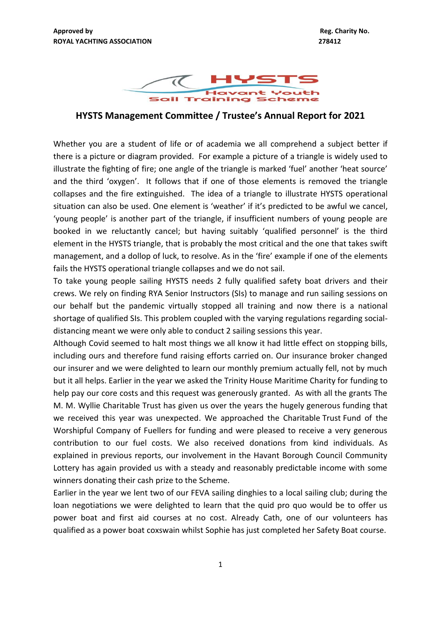

**HYSTS Management Committee / Trustee's Annual Report for 2021**

Whether you are a student of life or of academia we all comprehend a subject better if there is a picture or diagram provided. For example a picture of a triangle is widely used to illustrate the fighting of fire; one angle of the triangle is marked 'fuel' another 'heat source' and the third 'oxygen'. It follows that if one of those elements is removed the triangle collapses and the fire extinguished. The idea of a triangle to illustrate HYSTS operational situation can also be used. One element is 'weather' if it's predicted to be awful we cancel, 'young people' is another part of the triangle, if insufficient numbers of young people are booked in we reluctantly cancel; but having suitably 'qualified personnel' is the third element in the HYSTS triangle, that is probably the most critical and the one that takes swift management, and a dollop of luck, to resolve. As in the 'fire' example if one of the elements fails the HYSTS operational triangle collapses and we do not sail.

To take young people sailing HYSTS needs 2 fully qualified safety boat drivers and their crews. We rely on finding RYA Senior Instructors (SIs) to manage and run sailing sessions on our behalf but the pandemic virtually stopped all training and now there is a national shortage of qualified SIs. This problem coupled with the varying regulations regarding socialdistancing meant we were only able to conduct 2 sailing sessions this year.

Although Covid seemed to halt most things we all know it had little effect on stopping bills, including ours and therefore fund raising efforts carried on. Our insurance broker changed our insurer and we were delighted to learn our monthly premium actually fell, not by much but it all helps. Earlier in the year we asked the Trinity House Maritime Charity for funding to help pay our core costs and this request was generously granted. As with all the grants The M. M. Wyllie Charitable Trust has given us over the years the hugely generous funding that we received this year was unexpected. We approached the Charitable Trust Fund of the Worshipful Company of Fuellers for funding and were pleased to receive a very generous contribution to our fuel costs. We also received donations from kind individuals. As explained in previous reports, our involvement in the Havant Borough Council Community Lottery has again provided us with a steady and reasonably predictable income with some winners donating their cash prize to the Scheme.

Earlier in the year we lent two of our FEVA sailing dinghies to a local sailing club; during the loan negotiations we were delighted to learn that the quid pro quo would be to offer us power boat and first aid courses at no cost. Already Cath, one of our volunteers has qualified as a power boat coxswain whilst Sophie has just completed her Safety Boat course.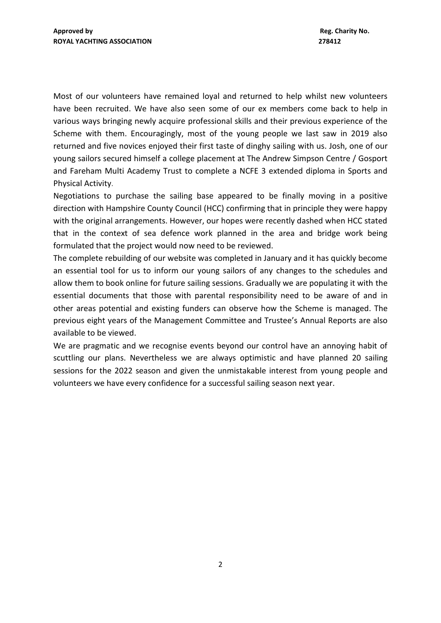Most of our volunteers have remained loyal and returned to help whilst new volunteers have been recruited. We have also seen some of our ex members come back to help in various ways bringing newly acquire professional skills and their previous experience of the Scheme with them. Encouragingly, most of the young people we last saw in 2019 also returned and five novices enjoyed their first taste of dinghy sailing with us. Josh, one of our young sailors secured himself a college placement at The Andrew Simpson Centre / Gosport and Fareham Multi Academy Trust to complete a NCFE 3 extended diploma in Sports and Physical Activity.

Negotiations to purchase the sailing base appeared to be finally moving in a positive direction with Hampshire County Council (HCC) confirming that in principle they were happy with the original arrangements. However, our hopes were recently dashed when HCC stated that in the context of sea defence work planned in the area and bridge work being formulated that the project would now need to be reviewed.

The complete rebuilding of our website was completed in January and it has quickly become an essential tool for us to inform our young sailors of any changes to the schedules and allow them to book online for future sailing sessions. Gradually we are populating it with the essential documents that those with parental responsibility need to be aware of and in other areas potential and existing funders can observe how the Scheme is managed. The previous eight years of the Management Committee and Trustee's Annual Reports are also available to be viewed.

We are pragmatic and we recognise events beyond our control have an annoying habit of scuttling our plans. Nevertheless we are always optimistic and have planned 20 sailing sessions for the 2022 season and given the unmistakable interest from young people and volunteers we have every confidence for a successful sailing season next year.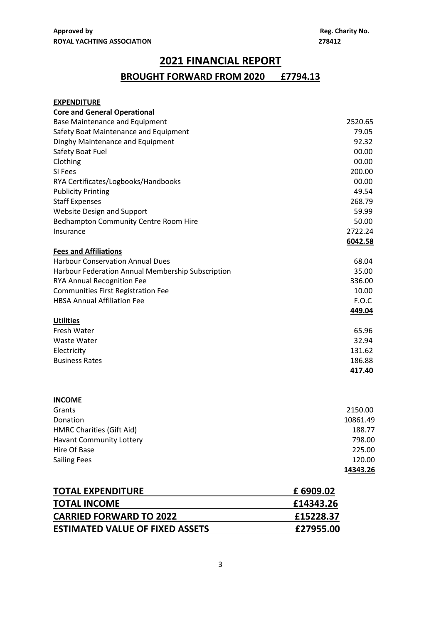# **2021 FINANCIAL REPORT**

## **BROUGHT FORWARD FROM 2020 £7794.13**

| <b>EXPENDITURE</b>                                                           |                  |
|------------------------------------------------------------------------------|------------------|
| <b>Core and General Operational</b><br><b>Base Maintenance and Equipment</b> | 2520.65          |
|                                                                              | 79.05            |
| Safety Boat Maintenance and Equipment<br>Dinghy Maintenance and Equipment    | 92.32            |
|                                                                              |                  |
| Safety Boat Fuel                                                             | 00.00<br>00.00   |
| Clothing<br>SI Fees                                                          |                  |
|                                                                              | 200.00<br>00.00  |
| RYA Certificates/Logbooks/Handbooks                                          | 49.54            |
| <b>Publicity Printing</b>                                                    | 268.79           |
| <b>Staff Expenses</b>                                                        |                  |
| Website Design and Support                                                   | 59.99            |
| Bedhampton Community Centre Room Hire                                        | 50.00<br>2722.24 |
| Insurance                                                                    |                  |
|                                                                              | 6042.58          |
| <b>Fees and Affiliations</b>                                                 |                  |
| <b>Harbour Conservation Annual Dues</b>                                      | 68.04<br>35.00   |
| Harbour Federation Annual Membership Subscription                            |                  |
| <b>RYA Annual Recognition Fee</b>                                            | 336.00           |
| <b>Communities First Registration Fee</b>                                    | 10.00            |
| <b>HBSA Annual Affiliation Fee</b>                                           | F.O.C            |
|                                                                              | 449.04           |
| <b>Utilities</b>                                                             |                  |
| Fresh Water                                                                  | 65.96            |
| Waste Water                                                                  | 32.94            |
| Electricity                                                                  | 131.62           |
| <b>Business Rates</b>                                                        | 186.88           |
|                                                                              | 417.40           |
| <b>INCOME</b>                                                                |                  |
| Grants                                                                       | 2150.00          |
| Donation                                                                     | 10861.49         |
| HMRC Charities (Gift Aid)                                                    | 188.77           |
| Havant Community Lottery                                                     | 798.00           |
| Hire Of Base                                                                 | 225.00           |
| <b>Sailing Fees</b>                                                          | 120.00           |
|                                                                              | 14343.26         |
|                                                                              |                  |
|                                                                              |                  |

| <b>TOTAL EXPENDITURE</b>               | £ 6909.02 |
|----------------------------------------|-----------|
| <b>TOTAL INCOME</b>                    | £14343.26 |
| <b>CARRIED FORWARD TO 2022</b>         | £15228.37 |
| <b>ESTIMATED VALUE OF FIXED ASSETS</b> | £27955.00 |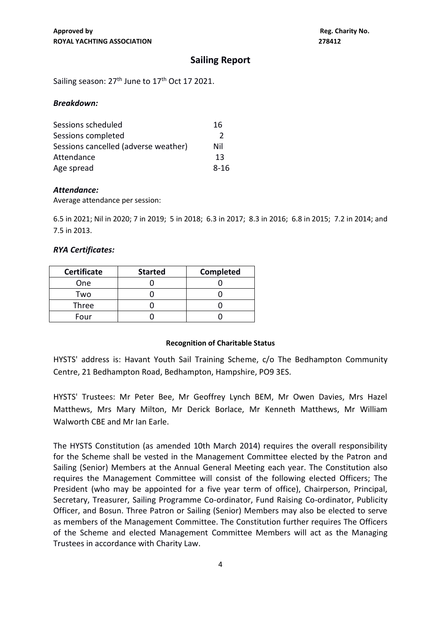### **Sailing Report**

Sailing season:  $27<sup>th</sup>$  June to  $17<sup>th</sup>$  Oct 17 2021.

#### *Breakdown:*

| Sessions scheduled                   | 16   |
|--------------------------------------|------|
| Sessions completed                   | 2    |
| Sessions cancelled (adverse weather) | Nil  |
| Attendance                           | 13   |
| Age spread                           | 8-16 |

#### *Attendance:*

Average attendance per session:

6.5 in 2021; Nil in 2020; 7 in 2019; 5 in 2018; 6.3 in 2017; 8.3 in 2016; 6.8 in 2015; 7.2 in 2014; and 7.5 in 2013.

#### *RYA Certificates:*

| <b>Certificate</b> | <b>Started</b> | Completed |
|--------------------|----------------|-----------|
| <b>One</b>         |                |           |
| Two                |                |           |
| Three              |                |           |
| Four               |                |           |

#### **Recognition of Charitable Status**

HYSTS' address is: Havant Youth Sail Training Scheme, c/o The Bedhampton Community Centre, 21 Bedhampton Road, Bedhampton, Hampshire, PO9 3ES.

HYSTS' Trustees: Mr Peter Bee, Mr Geoffrey Lynch BEM, Mr Owen Davies, Mrs Hazel Matthews, Mrs Mary Milton, Mr Derick Borlace, Mr Kenneth Matthews, Mr William Walworth CBE and Mr Ian Earle.

The HYSTS Constitution (as amended 10th March 2014) requires the overall responsibility for the Scheme shall be vested in the Management Committee elected by the Patron and Sailing (Senior) Members at the Annual General Meeting each year. The Constitution also requires the Management Committee will consist of the following elected Officers; The President (who may be appointed for a five year term of office), Chairperson, Principal, Secretary, Treasurer, Sailing Programme Co-ordinator, Fund Raising Co-ordinator, Publicity Officer, and Bosun. Three Patron or Sailing (Senior) Members may also be elected to serve as members of the Management Committee. The Constitution further requires The Officers of the Scheme and elected Management Committee Members will act as the Managing Trustees in accordance with Charity Law.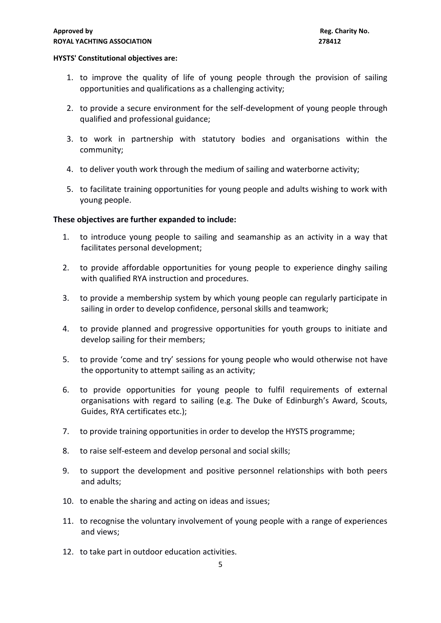#### **HYSTS' Constitutional objectives are:**

- 1. to improve the quality of life of young people through the provision of sailing opportunities and qualifications as a challenging activity;
- 2. to provide a secure environment for the self-development of young people through qualified and professional guidance;
- 3. to work in partnership with statutory bodies and organisations within the community;
- 4. to deliver youth work through the medium of sailing and waterborne activity;
- 5. to facilitate training opportunities for young people and adults wishing to work with young people.

#### **These objectives are further expanded to include:**

- 1. to introduce young people to sailing and seamanship as an activity in a way that facilitates personal development;
- 2. to provide affordable opportunities for young people to experience dinghy sailing with qualified RYA instruction and procedures.
- 3. to provide a membership system by which young people can regularly participate in sailing in order to develop confidence, personal skills and teamwork;
- 4. to provide planned and progressive opportunities for youth groups to initiate and develop sailing for their members;
- 5. to provide 'come and try' sessions for young people who would otherwise not have the opportunity to attempt sailing as an activity;
- 6. to provide opportunities for young people to fulfil requirements of external organisations with regard to sailing (e.g. The Duke of Edinburgh's Award, Scouts, Guides, RYA certificates etc.);
- 7. to provide training opportunities in order to develop the HYSTS programme;
- 8. to raise self-esteem and develop personal and social skills;
- 9. to support the development and positive personnel relationships with both peers and adults;
- 10. to enable the sharing and acting on ideas and issues;
- 11. to recognise the voluntary involvement of young people with a range of experiences and views;
- 12. to take part in outdoor education activities.